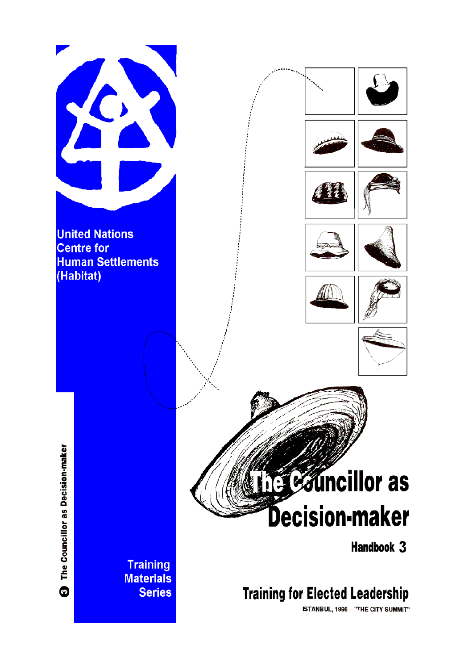

**United Nations Centre for Human Settlements** (Habitat)









The Councillor as Decision-maker  $\bullet$ 

# **Exuncillor** as **Decision-maker**

Handbook 3

# **Training for Elected Leadership**

ISTANBUL, 1996 - "THE CITY SUMMIT"

**Training Materials Series**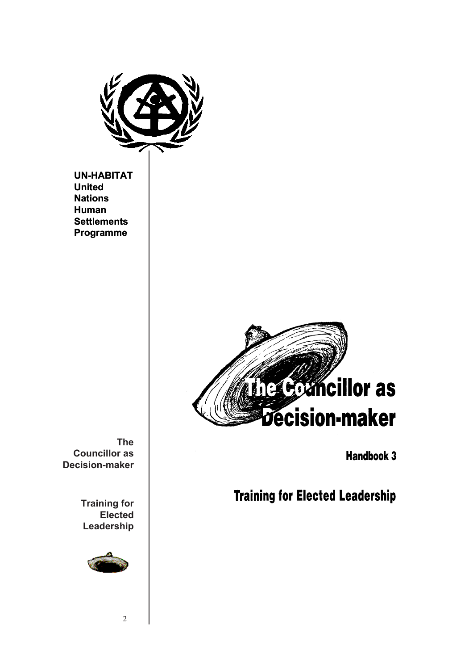

**UN-HABITAT United Nations Human Settlements Programme**



**Handbook 3** 

**Training for Elected Leadership** 

**The Councillor as Decision-maker**

> **Training for Elected Leadership**



2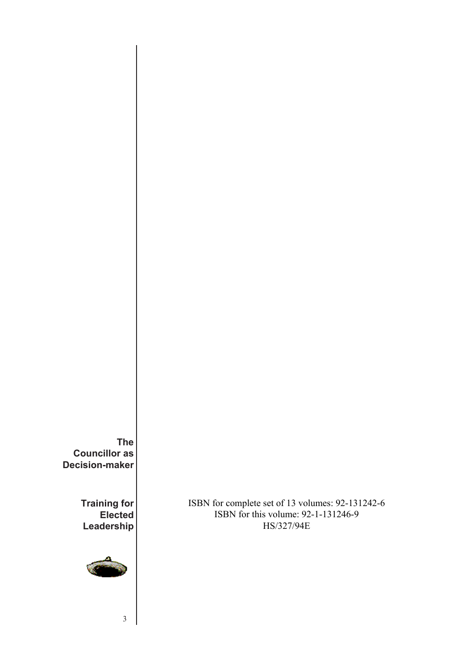**The Councillor as Decision-maker**

> **Training for Elected Leadership**



3

ISBN for complete set of 13 volumes: 92-131242-6 ISBN for this volume: 92-1-131246-9 HS/327/94E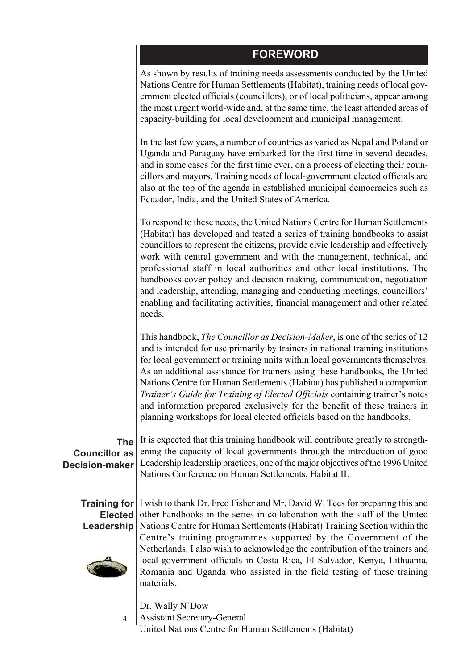#### **FOREWORD**

As shown by results of training needs assessments conducted by the United Nations Centre for Human Settlements (Habitat), training needs of local government elected officials (councillors), or of local politicians, appear among the most urgent world-wide and, at the same time, the least attended areas of capacity-building for local development and municipal management.

In the last few years, a number of countries as varied as Nepal and Poland or Uganda and Paraguay have embarked for the first time in several decades, and in some cases for the first time ever, on a process of electing their councillors and mayors. Training needs of local-government elected officials are also at the top of the agenda in established municipal democracies such as Ecuador, India, and the United States of America.

To respond to these needs, the United Nations Centre for Human Settlements (Habitat) has developed and tested a series of training handbooks to assist councillors to represent the citizens, provide civic leadership and effectively work with central government and with the management, technical, and professional staff in local authorities and other local institutions. The handbooks cover policy and decision making, communication, negotiation and leadership, attending, managing and conducting meetings, councillors' enabling and facilitating activities, financial management and other related needs.

This handbook, *The Councillor as Decision-Maker*, is one of the series of 12 and is intended for use primarily by trainers in national training institutions for local government or training units within local governments themselves. As an additional assistance for trainers using these handbooks, the United Nations Centre for Human Settlements (Habitat) has published a companion *Trainer's Guide for Training of Elected Officials* containing trainer's notes and information prepared exclusively for the benefit of these trainers in planning workshops for local elected officials based on the handbooks.

**The Councillor as Decision-maker**

It is expected that this training handbook will contribute greatly to strengthening the capacity of local governments through the introduction of good Leadership leadership practices, one of the major objectives of the 1996 United Nations Conference on Human Settlements, Habitat II.

**Training for** I wish to thank Dr. Fred Fisher and Mr. David W. Tees for preparing this and **Elected Leadership** other handbooks in the series in collaboration with the staff of the United Nations Centre for Human Settlements (Habitat) Training Section within the Centre's training programmes supported by the Government of the Netherlands. I also wish to acknowledge the contribution of the trainers and local-government officials in Costa Rica, El Salvador, Kenya, Lithuania, Romania and Uganda who assisted in the field testing of these training materials.

> 4 Dr. Wally N'Dow Assistant Secretary-General United Nations Centre for Human Settlements (Habitat)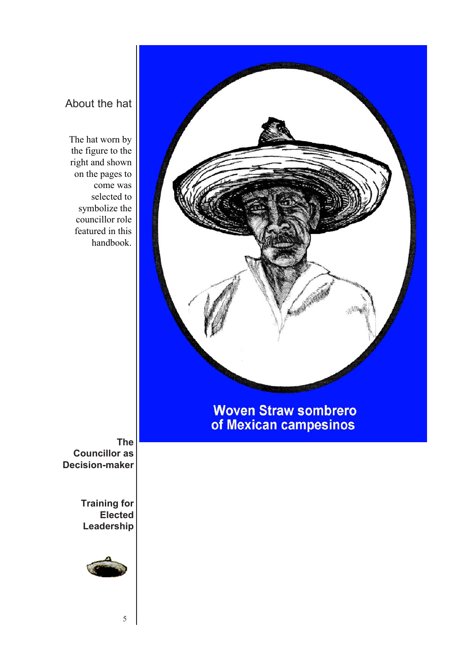### About the hat

The hat worn by the figure to the right and shown on the pages to come was selected to symbolize the councillor role featured in this handbook.

# **Woven Straw sombrero** of Mexican campesinos

**The Councillor as Decision-maker**

> **Training for Elected Leadership**



5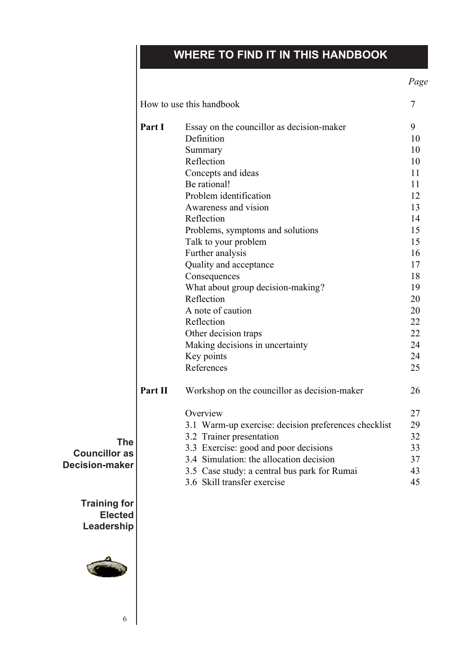# **WHERE TO FIND IT IN THIS HANDBOOK**

*Page*

|         | How to use this handbook                             | $\tau$ |
|---------|------------------------------------------------------|--------|
| Part I  | Essay on the councillor as decision-maker            | 9      |
|         | Definition                                           | 10     |
|         | Summary                                              | 10     |
|         | Reflection                                           | 10     |
|         | Concepts and ideas                                   | 11     |
|         | Be rational!                                         | 11     |
|         | Problem identification                               | 12     |
|         | Awareness and vision                                 | 13     |
|         | Reflection                                           | 14     |
|         | Problems, symptoms and solutions                     | 15     |
|         | Talk to your problem                                 | 15     |
|         | Further analysis                                     | 16     |
|         | Quality and acceptance                               | 17     |
|         | Consequences                                         | 18     |
|         | What about group decision-making?                    | 19     |
|         | Reflection                                           | 20     |
|         | A note of caution                                    | 20     |
|         | Reflection                                           | 22     |
|         | Other decision traps                                 | 22     |
|         | Making decisions in uncertainty                      | 24     |
|         | Key points                                           | 24     |
|         | References                                           | 25     |
| Part II | Workshop on the councillor as decision-maker         | 26     |
|         | Overview                                             | 27     |
|         | 3.1 Warm-up exercise: decision preferences checklist | 29     |
|         | 3.2 Trainer presentation                             | 32     |
|         | 3.3 Exercise: good and poor decisions                | 33     |
|         | 3.4 Simulation: the allocation decision              | 37     |
|         | 3.5 Case study: a central bus park for Rumai         | 43     |
|         | 3.6 Skill transfer exercise                          | 45     |

**The Councillor as Decision-maker**

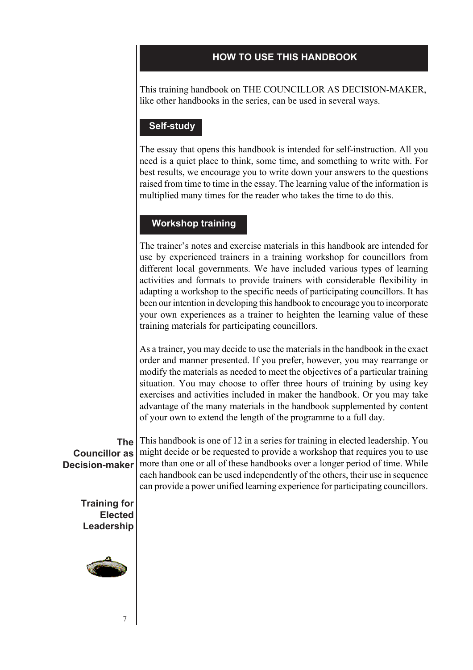#### **HOW TO USE THIS HANDBOOK**

This training handbook on THE COUNCILLOR AS DECISION-MAKER, like other handbooks in the series, can be used in several ways.

#### **Self-study**

The essay that opens this handbook is intended for self-instruction. All you need is a quiet place to think, some time, and something to write with. For best results, we encourage you to write down your answers to the questions raised from time to time in the essay. The learning value of the information is multiplied many times for the reader who takes the time to do this.

#### **Workshop training**

The trainer's notes and exercise materials in this handbook are intended for use by experienced trainers in a training workshop for councillors from different local governments. We have included various types of learning activities and formats to provide trainers with considerable flexibility in adapting a workshop to the specific needs of participating councillors. It has been our intention in developing this handbook to encourage you to incorporate your own experiences as a trainer to heighten the learning value of these training materials for participating councillors.

As a trainer, you may decide to use the materials in the handbook in the exact order and manner presented. If you prefer, however, you may rearrange or modify the materials as needed to meet the objectives of a particular training situation. You may choose to offer three hours of training by using key exercises and activities included in maker the handbook. Or you may take advantage of the many materials in the handbook supplemented by content of your own to extend the length of the programme to a full day.

**The Councillor as Decision-maker**

This handbook is one of 12 in a series for training in elected leadership. You might decide or be requested to provide a workshop that requires you to use more than one or all of these handbooks over a longer period of time. While each handbook can be used independently of the others, their use in sequence can provide a power unified learning experience for participating councillors.

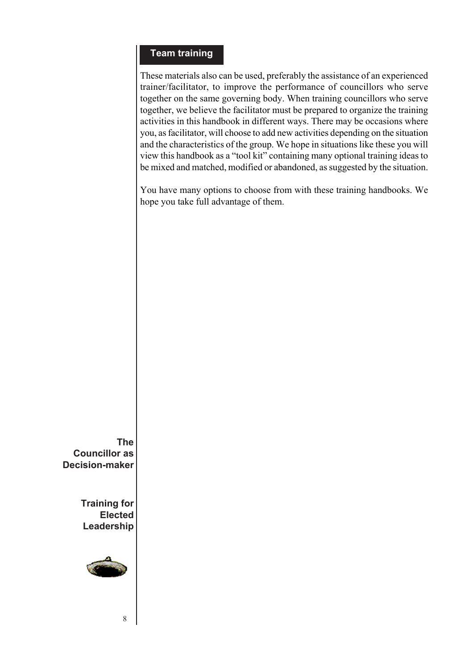#### **Team training**

These materials also can be used, preferably the assistance of an experienced trainer/facilitator, to improve the performance of councillors who serve together on the same governing body. When training councillors who serve together, we believe the facilitator must be prepared to organize the training activities in this handbook in different ways. There may be occasions where you, as facilitator, will choose to add new activities depending on the situation and the characteristics of the group. We hope in situations like these you will view this handbook as a "tool kit" containing many optional training ideas to be mixed and matched, modified or abandoned, as suggested by the situation.

You have many options to choose from with these training handbooks. We hope you take full advantage of them.

**The Councillor as Decision-maker**

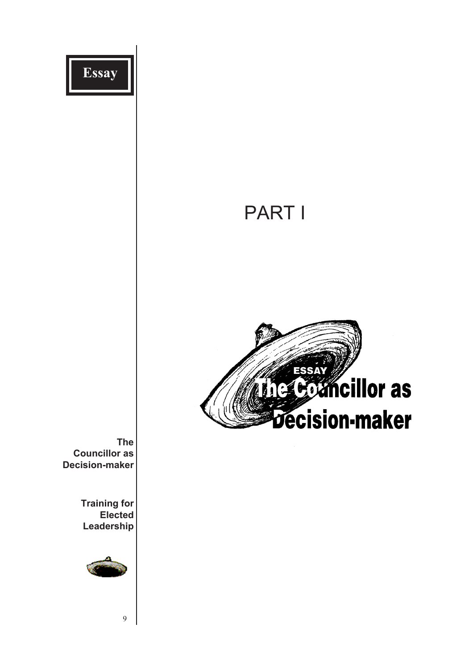

**Leadership**



9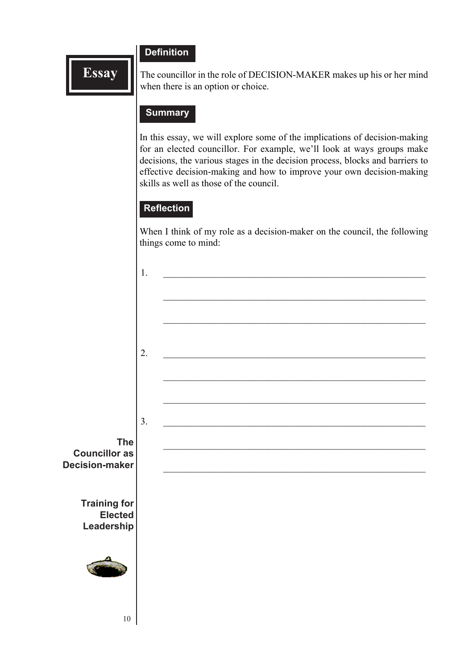#### **Definition**

**Essay**

The councillor in the role of DECISION-MAKER makes up his or her mind when there is an option or choice.

#### **Summary**

In this essay, we will explore some of the implications of decision-making for an elected councillor. For example, we'll look at ways groups make decisions, the various stages in the decision process, blocks and barriers to effective decision-making and how to improve your own decision-making skills as well as those of the council.

#### **Reflection**

When I think of my role as a decision-maker on the council, the following things come to mind:

|                                               | 1. |  |
|-----------------------------------------------|----|--|
|                                               |    |  |
|                                               |    |  |
|                                               |    |  |
|                                               | 2. |  |
|                                               |    |  |
|                                               |    |  |
|                                               | 3. |  |
| <b>The</b>                                    |    |  |
| <b>Councillor as</b><br><b>Decision-maker</b> |    |  |
|                                               |    |  |
| <b>Training for</b><br>Elected<br>Leadership  |    |  |
|                                               |    |  |
|                                               |    |  |
|                                               |    |  |
| $10\,$                                        |    |  |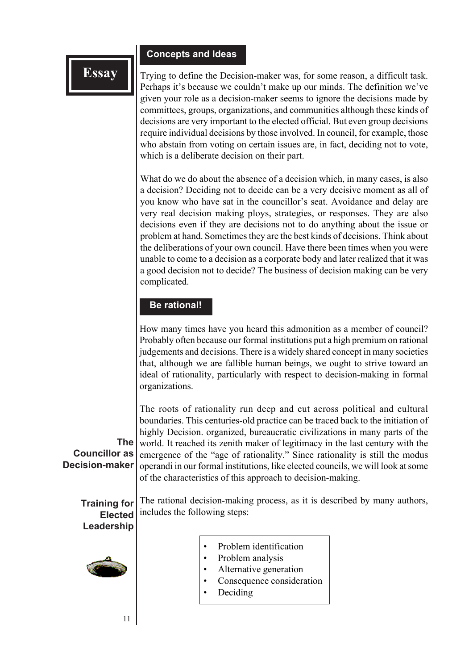#### **Concepts and Ideas**

Trying to define the Decision-maker was, for some reason, a difficult task. Perhaps it's because we couldn't make up our minds. The definition we've given your role as a decision-maker seems to ignore the decisions made by committees, groups, organizations, and communities although these kinds of decisions are very important to the elected official. But even group decisions require individual decisions by those involved. In council, for example, those who abstain from voting on certain issues are, in fact, deciding not to vote, which is a deliberate decision on their part.

What do we do about the absence of a decision which, in many cases, is also a decision? Deciding not to decide can be a very decisive moment as all of you know who have sat in the councillor's seat. Avoidance and delay are very real decision making ploys, strategies, or responses. They are also decisions even if they are decisions not to do anything about the issue or problem at hand. Sometimes they are the best kinds of decisions. Think about the deliberations of your own council. Have there been times when you were unable to come to a decision as a corporate body and later realized that it was a good decision not to decide? The business of decision making can be very complicated.

#### **Be rational!**

How many times have you heard this admonition as a member of council? Probably often because our formal institutions put a high premium on rational judgements and decisions. There is a widely shared concept in many societies that, although we are fallible human beings, we ought to strive toward an ideal of rationality, particularly with respect to decision-making in formal organizations.

**The Councillor as Decision-maker** The roots of rationality run deep and cut across political and cultural boundaries. This centuries-old practice can be traced back to the initiation of highly Decision. organized, bureaucratic civilizations in many parts of the world. It reached its zenith maker of legitimacy in the last century with the emergence of the "age of rationality." Since rationality is still the modus operandi in our formal institutions, like elected councils, we will look at some of the characteristics of this approach to decision-making.

**Training for Elected** The rational decision-making process, as it is described by many authors, includes the following steps:

# **Leadership**



11

- Problem identification
- Problem analysis
- Alternative generation
- Consequence consideration
- Deciding

**Essay**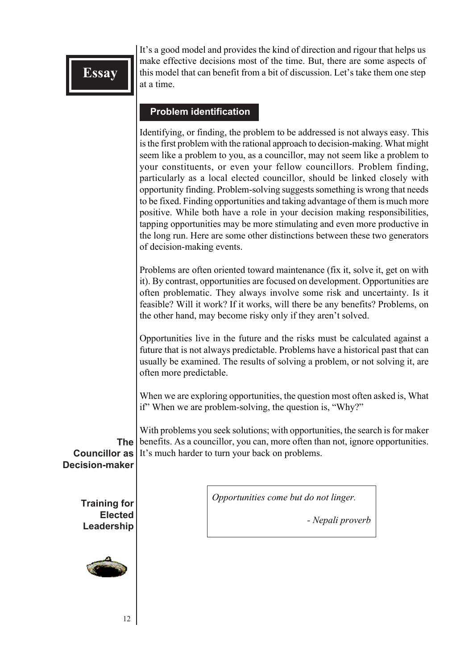It's a good model and provides the kind of direction and rigour that helps us make effective decisions most of the time. But, there are some aspects of this model that can benefit from a bit of discussion. Let's take them one step at a time.

#### **Problem identification**

Identifying, or finding, the problem to be addressed is not always easy. This is the first problem with the rational approach to decision-making. What might seem like a problem to you, as a councillor, may not seem like a problem to your constituents, or even your fellow councillors. Problem finding, particularly as a local elected councillor, should be linked closely with opportunity finding. Problem-solving suggests something is wrong that needs to be fixed. Finding opportunities and taking advantage of them is much more positive. While both have a role in your decision making responsibilities, tapping opportunities may be more stimulating and even more productive in the long run. Here are some other distinctions between these two generators of decision-making events.

Problems are often oriented toward maintenance (fix it, solve it, get on with it). By contrast, opportunities are focused on development. Opportunities are often problematic. They always involve some risk and uncertainty. Is it feasible? Will it work? If it works, will there be any benefits? Problems, on the other hand, may become risky only if they aren't solved.

Opportunities live in the future and the risks must be calculated against a future that is not always predictable. Problems have a historical past that can usually be examined. The results of solving a problem, or not solving it, are often more predictable.

When we are exploring opportunities, the question most often asked is, What if" When we are problem-solving, the question is, "Why?"

**The** With problems you seek solutions; with opportunities, the search is for maker benefits. As a councillor, you can, more often than not, ignore opportunities. It's much harder to turn your back on problems.

**Councillor as Decision-maker**

> **Training for Elected Leadership**



*Opportunities come but do not linger.*

*- Nepali proverb*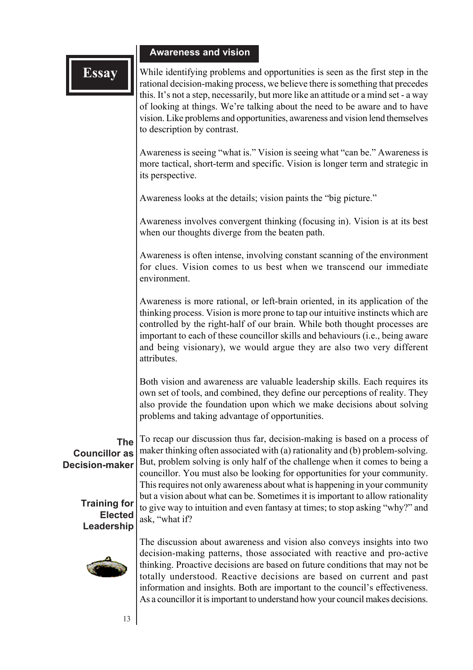#### **Awareness and vision**

**Essay** While identifying problems and opportunities is seen as the first step in the rational decision-making process, we believe there issomething that precedes this. It's not a step, necessarily, but more like an attitude or a mind set - a way of looking at things. We're talking about the need to be aware and to have vision. Like problems and opportunities, awareness and vision lend themselves to description by contrast.

> Awareness is seeing "what is." Vision is seeing what "can be." Awareness is more tactical, short-term and specific. Vision is longer term and strategic in its perspective.

Awareness looks at the details; vision paints the "big picture."

Awareness involves convergent thinking (focusing in). Vision is at its best when our thoughts diverge from the beaten path.

Awareness is often intense, involving constant scanning of the environment for clues. Vision comes to us best when we transcend our immediate environment.

Awareness is more rational, or left-brain oriented, in its application of the thinking process. Vision is more prone to tap our intuitive instincts which are controlled by the right-half of our brain. While both thought processes are important to each of these councillor skills and behaviours (i.e., being aware and being visionary), we would argue they are also two very different attributes.

Both vision and awareness are valuable leadership skills. Each requires its own set of tools, and combined, they define our perceptions of reality. They also provide the foundation upon which we make decisions about solving problems and taking advantage of opportunities.

#### **The Councillor as Decision-maker**

**Training for Elected Leadership**



To recap our discussion thus far, decision-making is based on a process of maker thinking often associated with (a) rationality and (b) problem-solving. But, problem solving is only half of the challenge when it comes to being a councillor. You must also be looking for opportunities for your community. This requires not only awareness about what is happening in your community but a vision about what can be. Sometimes it is important to allow rationality to give way to intuition and even fantasy at times; to stop asking "why?" and ask, "what if?

The discussion about awareness and vision also conveys insights into two decision-making patterns, those associated with reactive and pro-active thinking. Proactive decisions are based on future conditions that may not be totally understood. Reactive decisions are based on current and past information and insights. Both are important to the council's effectiveness. As a councillor it is important to understand how your council makes decisions.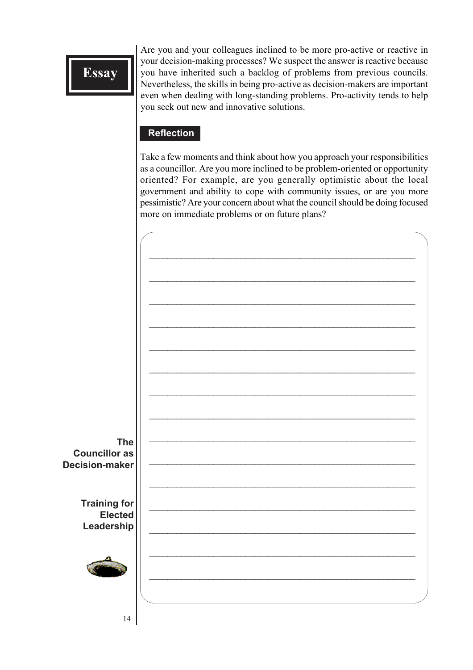Are you and your colleagues inclined to be more pro-active or reactive in your decision-making processes? We suspect the answer is reactive because you have inherited such a backlog of problems from previous councils. Nevertheless, the skills in being pro-active as decision-makers are important even when dealing with long-standing problems. Pro-activity tends to help you seek out new and innovative solutions.

#### **Reflection**

Take a few moments and think about how you approach your responsibilities as a councillor. Are you more inclined to be problem-oriented or opportunity oriented? For example, are you generally optimistic about the local government and ability to cope with community issues, or are you more pessimistic? Are your concern about what the council should be doing focused more on immediate problems or on future plans?

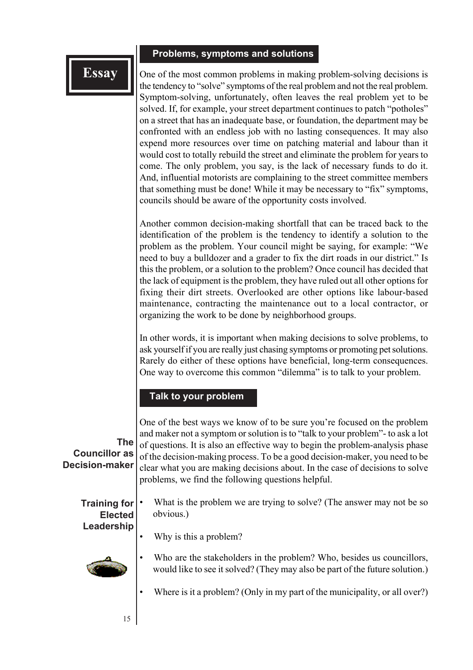#### **Problems, symptoms and solutions**

#### **Essay**

One of the most common problems in making problem-solving decisions is the tendency to "solve" symptoms of the real problem and not the real problem. Symptom-solving, unfortunately, often leaves the real problem yet to be solved. If, for example, your street department continues to patch "potholes" on a street that has an inadequate base, or foundation, the department may be confronted with an endless job with no lasting consequences. It may also expend more resources over time on patching material and labour than it would cost to totally rebuild the street and eliminate the problem for years to come. The only problem, you say, is the lack of necessary funds to do it. And, influential motorists are complaining to the street committee members that something must be done! While it may be necessary to "fix" symptoms, councils should be aware of the opportunity costs involved.

Another common decision-making shortfall that can be traced back to the identification of the problem is the tendency to identify a solution to the problem as the problem. Your council might be saying, for example: "We need to buy a bulldozer and a grader to fix the dirt roads in our district." Is this the problem, or a solution to the problem? Once council has decided that the lack of equipment is the problem, they have ruled out all other options for fixing their dirt streets. Overlooked are other options like labour-based maintenance, contracting the maintenance out to a local contractor, or organizing the work to be done by neighborhood groups.

In other words, it is important when making decisions to solve problems, to ask yourself if you are really just chasing symptoms or promoting pet solutions. Rarely do either of these options have beneficial, long-term consequences. One way to overcome this common "dilemma" is to talk to your problem.

#### **Talk to your problem**

Why is this a problem?

**The Councillor as Decision-maker** One of the best ways we know of to be sure you're focused on the problem and maker not a symptom or solution is to "talk to your problem"- to ask a lot of questions. It is also an effective way to begin the problem-analysis phase of the decision-making process. To be a good decision-maker, you need to be clear what you are making decisions about. In the case of decisions to solve problems, we find the following questions helpful.

**Training for Elected** What is the problem we are trying to solve? (The answer may not be so obvious.)

# **Leadership**

- 
- Who are the stakeholders in the problem? Who, besides us councillors, would like to see it solved? (They may also be part of the future solution.)
- Where is it a problem? (Only in my part of the municipality, or all over?)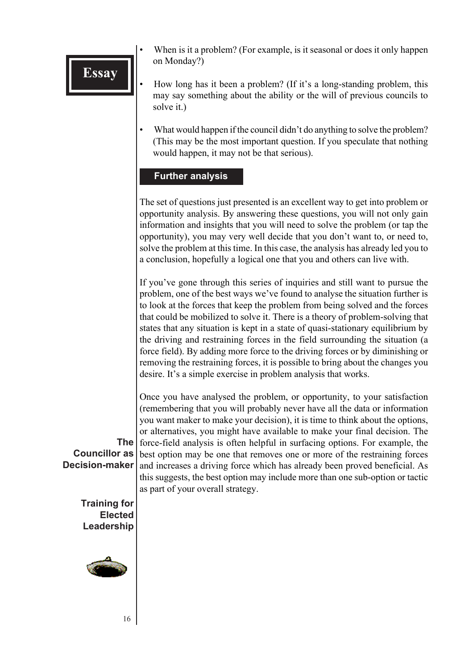- When is it a problem? (For example, is it seasonal or does it only happen on Monday?)
- How long has it been a problem? (If it's a long-standing problem, this may say something about the ability or the will of previous councils to solve it.)
- What would happen if the council didn't do anything to solve the problem? (This may be the most important question. If you speculate that nothing would happen, it may not be that serious).

#### **Further analysis**

The set of questions just presented is an excellent way to get into problem or opportunity analysis. By answering these questions, you will not only gain information and insights that you will need to solve the problem (or tap the opportunity), you may very well decide that you don't want to, or need to, solve the problem at this time. In this case, the analysis has already led you to a conclusion, hopefully a logical one that you and others can live with.

If you've gone through this series of inquiries and still want to pursue the problem, one of the best ways we've found to analyse the situation further is to look at the forces that keep the problem from being solved and the forces that could be mobilized to solve it. There is a theory of problem-solving that states that any situation is kept in a state of quasi-stationary equilibrium by the driving and restraining forces in the field surrounding the situation (a force field). By adding more force to the driving forces or by diminishing or removing the restraining forces, it is possible to bring about the changes you desire. It's a simple exercise in problem analysis that works.

**The Councillor as** Once you have analysed the problem, or opportunity, to your satisfaction (remembering that you will probably never have all the data or information you want maker to make your decision), it is time to think about the options, or alternatives, you might have available to make your final decision. The force-field analysis is often helpful in surfacing options. For example, the best option may be one that removes one or more of the restraining forces and increases a driving force which has already been proved beneficial. As this suggests, the best option may include more than one sub-option or tactic as part of your overall strategy.

**Training for Elected Leadership**

**Decision-maker**

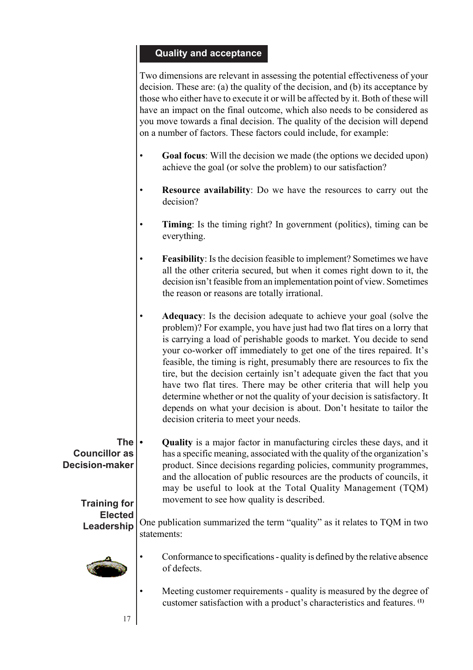#### **Quality and acceptance**

Two dimensions are relevant in assessing the potential effectiveness of your decision. These are: (a) the quality of the decision, and (b) its acceptance by those who either have to execute it or will be affected by it. Both of these will have an impact on the final outcome, which also needs to be considered as you move towards a final decision. The quality of the decision will depend on a number of factors. These factors could include, for example:

- **Goal focus**: Will the decision we made (the options we decided upon) achieve the goal (or solve the problem) to our satisfaction?
- **Resource availability**: Do we have the resources to carry out the decision?
- **Timing**: Is the timing right? In government (politics), timing can be everything.
- **Feasibility**: Is the decision feasible to implement? Sometimes we have all the other criteria secured, but when it comes right down to it, the decision isn't feasible from an implementation point of view. Sometimes the reason or reasons are totally irrational.
- **Adequacy**: Is the decision adequate to achieve your goal (solve the problem)? For example, you have just had two flat tires on a lorry that is carrying a load of perishable goods to market. You decide to send your co-worker off immediately to get one of the tires repaired. It's feasible, the timing is right, presumably there are resources to fix the tire, but the decision certainly isn't adequate given the fact that you have two flat tires. There may be other criteria that will help you determine whether or not the quality of your decision is satisfactory. It depends on what your decision is about. Don't hesitate to tailor the decision criteria to meet your needs.

**The Councillor as Decision-maker Training for • Quality** is a major factor in manufacturing circles these days, and it has a specific meaning, associated with the quality of the organization's product. Since decisions regarding policies, community programmes, and the allocation of public resources are the products of councils, it may be useful to look at the Total Quality Management (TQM) movement to see how quality is described.

**Elected Leadership** One publication summarized the term "quality" as it relates to TQM in two statements:



17

- Conformance to specifications quality is defined by the relative absence of defects.
- Meeting customer requirements quality is measured by the degree of customer satisfaction with a product's characteristics and features. **(1)**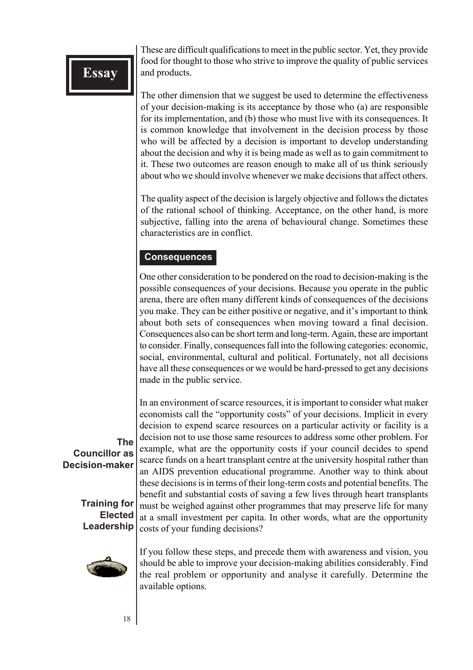These are difficult qualifications to meet in the public sector. Yet, they provide food for thought to those who strive to improve the quality of public services and products.

The other dimension that we suggest be used to determine the effectiveness of your decision-making is its acceptance by those who (a) are responsible for its implementation, and (b) those who must live with its consequences. It is common knowledge that involvement in the decision process by those who will be affected by a decision is important to develop understanding about the decision and why it is being made as well as to gain commitment to it. These two outcomes are reason enough to make all of us think seriously about who we should involve whenever we make decisions that affect others.

The quality aspect of the decision is largely objective and follows the dictates of the rational school of thinking. Acceptance, on the other hand, is more subjective, falling into the arena of behavioural change. Sometimes these characteristics are in conflict.

#### **Consequences**

One other consideration to be pondered on the road to decision-making is the possible consequences of your decisions. Because you operate in the public arena, there are often many different kinds of consequences of the decisions you make. They can be either positive or negative, and it's important to think about both sets of consequences when moving toward a final decision. Consequences also can be short term and long-term. Again, these are important to consider. Finally, consequences fall into the following categories: economic, social, environmental, cultural and political. Fortunately, not all decisions have all these consequences or we would be hard-pressed to get any decisions made in the public service.

In an environment of scarce resources, it is important to consider what maker economists call the "opportunity costs" of your decisions. Implicit in every decision to expend scarce resources on a particular activity or facility is a decision not to use those same resources to address some other problem. For example, what are the opportunity costs if your council decides to spend scarce funds on a heart transplant centre at the university hospital rather than an AIDS prevention educational programme. Another way to think about these decisions is in terms of their long-term costs and potential benefits. The benefit and substantial costs of saving a few lives through heart transplants must be weighed against other programmes that may preserve life for many at a small investment per capita. In other words, what are the opportunity costs of your funding decisions?



**Training for Elected Leadership**

> If you follow these steps, and precede them with awareness and vision, you should be able to improve your decision-making abilities considerably. Find the real problem or opportunity and analyse it carefully. Determine the available options.

**The**

**Councillor as Decision-maker**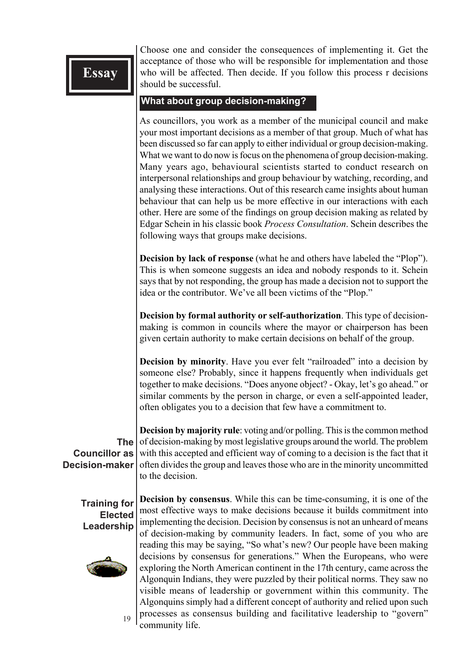Choose one and consider the consequences of implementing it. Get the acceptance of those who will be responsible for implementation and those who will be affected. Then decide. If you follow this process r decisions should be successful.

#### **What about group decision-making?**

As councillors, you work as a member of the municipal council and make your most important decisions as a member of that group. Much of what has been discussed so far can apply to either individual or group decision-making. What we want to do now is focus on the phenomena of group decision-making. Many years ago, behavioural scientists started to conduct research on interpersonal relationships and group behaviour by watching, recording, and analysing these interactions. Out of this research came insights about human behaviour that can help us be more effective in our interactions with each other. Here are some of the findings on group decision making as related by Edgar Schein in his classic book *Process Consultation*. Schein describes the following ways that groups make decisions.

**Decision by lack of response** (what he and others have labeled the "Plop"). This is when someone suggests an idea and nobody responds to it. Schein says that by not responding, the group has made a decision not to support the idea or the contributor. We've all been victims of the "Plop."

**Decision by formal authority or self-authorization**. This type of decisionmaking is common in councils where the mayor or chairperson has been given certain authority to make certain decisions on behalf of the group.

**Decision by minority**. Have you ever felt "railroaded" into a decision by someone else? Probably, since it happens frequently when individuals get together to make decisions. "Does anyone object? - Okay, let's go ahead." or similar comments by the person in charge, or even a self-appointed leader, often obligates you to a decision that few have a commitment to.

**The Councillor as Decision-maker Decision by majority rule**: voting and/or polling. This is the common method of decision-making by most legislative groups around the world. The problem with this accepted and efficient way of coming to a decision is the fact that it often divides the group and leaves those who are in the minority uncommitted to the decision.

**Training for Elected Leadership**



19

**Decision by consensus**. While this can be time-consuming, it is one of the most effective ways to make decisions because it builds commitment into implementing the decision. Decision by consensus is not an unheard of means of decision-making by community leaders. In fact, some of you who are reading this may be saying, "So what's new? Our people have been making decisions by consensus for generations." When the Europeans, who were exploring the North American continent in the 17th century, came across the Algonquin Indians, they were puzzled by their political norms. They saw no visible means of leadership or government within this community. The Algonquins simply had a different concept of authority and relied upon such processes as consensus building and facilitative leadership to "govern" community life.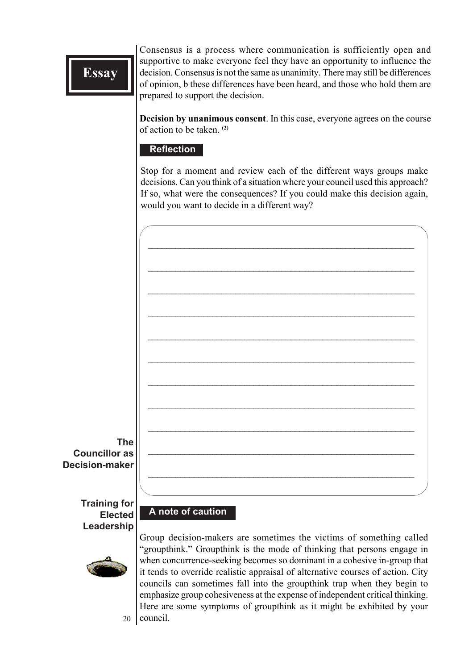Consensus is a process where communication is sufficiently open and supportive to make everyone feel they have an opportunity to influence the decision. Consensus is not the same as unanimity. There may still be differences of opinion, b these differences have been heard, and those who hold them are prepared to support the decision.

**Decision by unanimous consent**. In this case, everyone agrees on the course of action to be taken. **(2)**

#### **Reflection**

Stop for a moment and review each of the different ways groups make decisions. Can you think of a situation where your council used this approach? If so, what were the consequences? If you could make this decision again, would you want to decide in a different way?



**Decision-maker**

**Training for Elected Leadership**

#### **A note of caution**



20

Group decision-makers are sometimes the victims of something called "groupthink." Groupthink is the mode of thinking that persons engage in when concurrence-seeking becomes so dominant in a cohesive in-group that it tends to override realistic appraisal of alternative courses of action. City councils can sometimes fall into the groupthink trap when they begin to emphasize group cohesiveness at the expense of independent critical thinking. Here are some symptoms of groupthink as it might be exhibited by your council.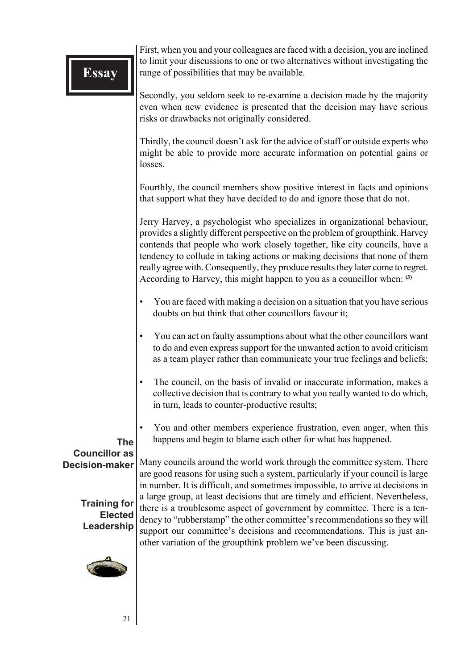First, when you and your colleagues are faced with a decision, you are inclined to limit your discussions to one or two alternatives without investigating the range of possibilities that may be available.

Secondly, you seldom seek to re-examine a decision made by the majority even when new evidence is presented that the decision may have serious risks or drawbacks not originally considered.

Thirdly, the council doesn't ask for the advice of staff or outside experts who might be able to provide more accurate information on potential gains or losses.

Fourthly, the council members show positive interest in facts and opinions that support what they have decided to do and ignore those that do not.

Jerry Harvey, a psychologist who specializes in organizational behaviour, provides a slightly different perspective on the problem of groupthink. Harvey contends that people who work closely together, like city councils, have a tendency to collude in taking actions or making decisions that none of them really agree with. Consequently, they produce results they later come to regret. According to Harvey, this might happen to you as a councillor when: **(3)**

- You are faced with making a decision on a situation that you have serious doubts on but think that other councillors favour it;
- You can act on faulty assumptions about what the other councillors want to do and even express support for the unwanted action to avoid criticism as a team player rather than communicate your true feelings and beliefs;
- The council, on the basis of invalid or inaccurate information, makes a collective decision that is contrary to what you really wanted to do which, in turn, leads to counter-productive results;
- You and other members experience frustration, even anger, when this happens and begin to blame each other for what has happened.

**The Councillor as Decision-maker**

Many councils around the world work through the committee system. There are good reasons for using such a system, particularly if your council is large in number. It is difficult, and sometimes impossible, to arrive at decisions in a large group, at least decisions that are timely and efficient. Nevertheless, there is a troublesome aspect of government by committee. There is a tendency to "rubberstamp" the other committee's recommendations so they will support our committee's decisions and recommendations. This is just another variation of the groupthink problem we've been discussing.

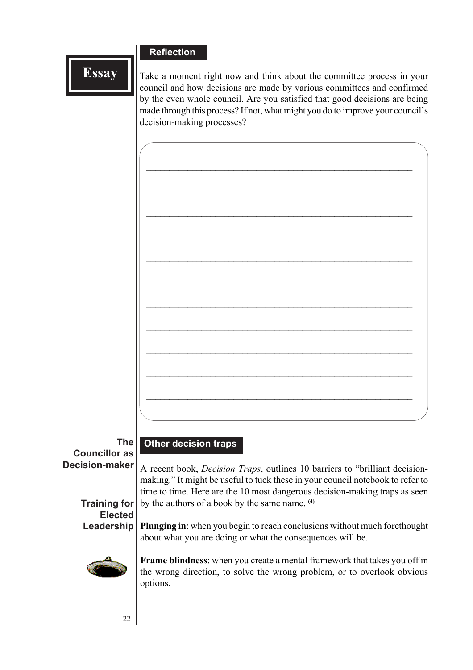#### **Reflection**

**Essay**

Take a moment right now and think about the committee process in your council and how decisions are made by various committees and confirmed by the even whole council. Are you satisfied that good decisions are being made through this process? If not, what might you do to improve your council's decision-making processes?

**The Councillor as Decision-maker**

**Other decision traps**

A recent book, *Decision Traps*, outlines 10 barriers to "brilliant decisionmaking." It might be useful to tuck these in your council notebook to refer to time to time. Here are the 10 most dangerous decision-making traps as seen by the authors of a book by the same name. **(4)**

#### **Training for Elected Leadership**

**Plunging in**: when you begin to reach conclusions without much forethought about what you are doing or what the consequences will be.



**Frame blindness**: when you create a mental framework that takes you off in the wrong direction, to solve the wrong problem, or to overlook obvious options.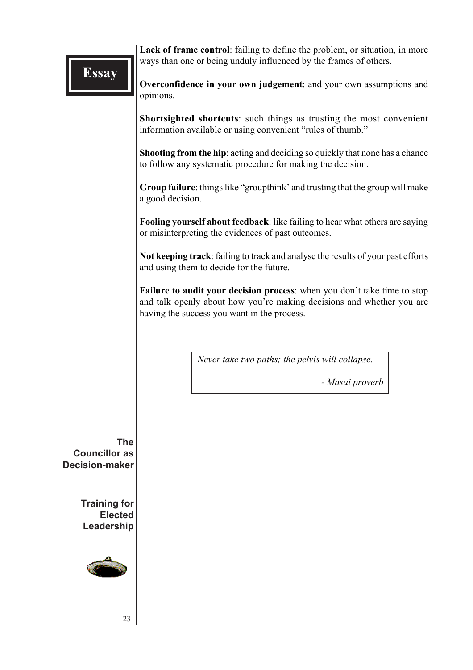**Lack of frame control**: failing to define the problem, or situation, in more ways than one or being unduly influenced by the frames of others.

**Overconfidence in your own judgement**: and your own assumptions and opinions.

**Shortsighted shortcuts**: such things as trusting the most convenient information available or using convenient "rules of thumb."

**Shooting from the hip**: acting and deciding so quickly that none has a chance to follow any systematic procedure for making the decision.

**Group failure**: things like "groupthink' and trusting that the group will make a good decision.

**Fooling yourself about feedback**: like failing to hear what others are saying or misinterpreting the evidences of past outcomes.

**Not keeping track**: failing to track and analyse the results of your past efforts and using them to decide for the future.

**Failure to audit your decision process**: when you don't take time to stop and talk openly about how you're making decisions and whether you are having the success you want in the process.

*Never take two paths; the pelvis will collapse.*

*- Masai proverb*

**The Councillor as Decision-maker**

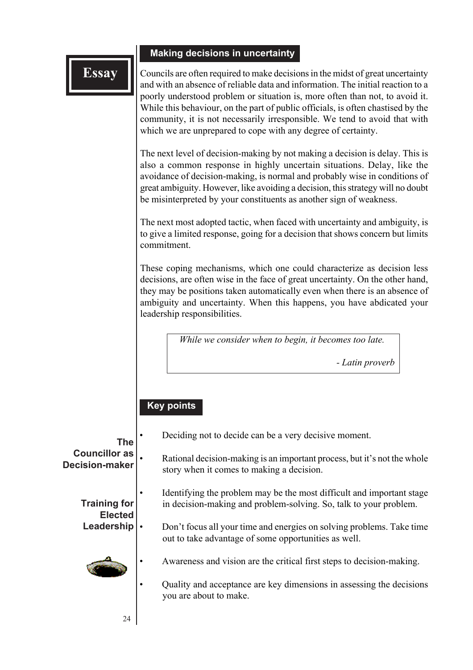#### **Making decisions in uncertainty**

Councils are often required to make decisions in the midst of great uncertainty and with an absence of reliable data and information. The initial reaction to a poorly understood problem or situation is, more often than not, to avoid it. While this behaviour, on the part of public officials, is often chastised by the community, it is not necessarily irresponsible. We tend to avoid that with which we are unprepared to cope with any degree of certainty.

The next level of decision-making by not making a decision is delay. This is also a common response in highly uncertain situations. Delay, like the avoidance of decision-making, is normal and probably wise in conditions of great ambiguity. However, like avoiding a decision, this strategy will no doubt be misinterpreted by your constituents as another sign of weakness.

The next most adopted tactic, when faced with uncertainty and ambiguity, is to give a limited response, going for a decision that shows concern but limits commitment.

These coping mechanisms, which one could characterize as decision less decisions, are often wise in the face of great uncertainty. On the other hand, they may be positions taken automatically even when there is an absence of ambiguity and uncertainty. When this happens, you have abdicated your leadership responsibilities.

*While we consider when to begin, it becomes too late.*

*- Latin proverb*

#### **Key points**

| The                                           | Deciding not to decide can be a very decisive moment.                                                                                      |
|-----------------------------------------------|--------------------------------------------------------------------------------------------------------------------------------------------|
| <b>Councillor as</b><br><b>Decision-maker</b> | Rational decision-making is an important process, but it's not the whole<br>story when it comes to making a decision.                      |
| <b>Training for</b><br><b>Elected</b>         | Identifying the problem may be the most difficult and important stage<br>in decision-making and problem-solving. So, talk to your problem. |
| Leadership                                    | Don't focus all your time and energies on solving problems. Take time<br>out to take advantage of some opportunities as well.              |
|                                               | Awareness and vision are the critical first steps to decision-making.                                                                      |
|                                               | Quality and acceptance are key dimensions in assessing the decisions<br>you are about to make.                                             |
| 24                                            |                                                                                                                                            |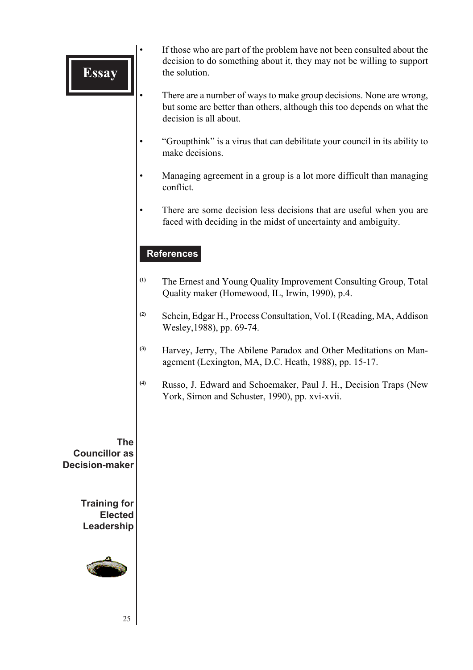- If those who are part of the problem have not been consulted about the decision to do something about it, they may not be willing to support the solution.
- There are a number of ways to make group decisions. None are wrong, but some are better than others, although this too depends on what the decision is all about.
- "Groupthink" is a virus that can debilitate your council in its ability to make decisions.
- Managing agreement in a group is a lot more difficult than managing conflict.
- There are some decision less decisions that are useful when you are faced with deciding in the midst of uncertainty and ambiguity.

#### **References**

- **(1)** The Ernest and Young Quality Improvement Consulting Group, Total Quality maker (Homewood, IL, Irwin, 1990), p.4.
- **(2)** Schein, Edgar H., Process Consultation, Vol. I (Reading, MA, Addison Wesley,1988), pp. 69-74.
- **(3)** Harvey, Jerry, The Abilene Paradox and Other Meditations on Management (Lexington, MA, D.C. Heath, 1988), pp. 15-17.
- **(4)** Russo, J. Edward and Schoemaker, Paul J. H., Decision Traps (New York, Simon and Schuster, 1990), pp. xvi-xvii.

**The Councillor as Decision-maker**

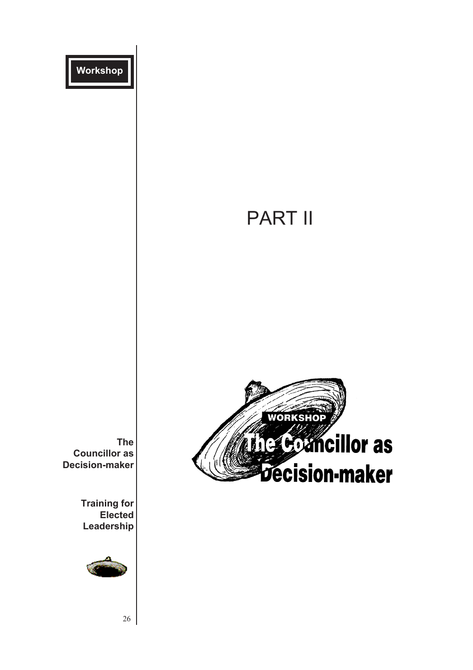

# PART II



**The Councillor as Decision-maker**

> **Training for Elected Leadership**



26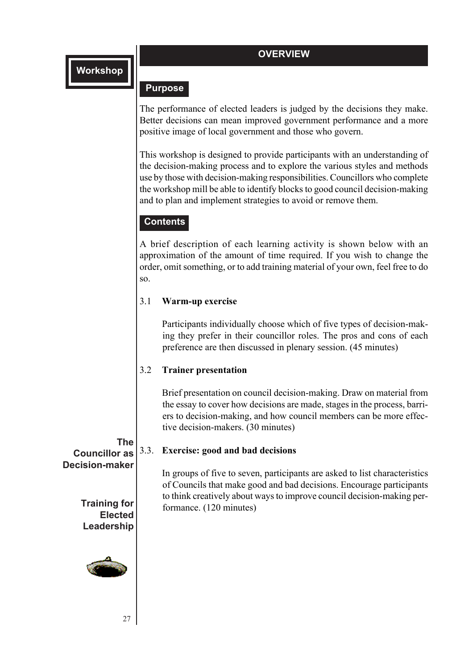#### **OVERVIEW**

#### **Purpose**

The performance of elected leaders is judged by the decisions they make. Better decisions can mean improved government performance and a more positive image of local government and those who govern.

This workshop is designed to provide participants with an understanding of the decision-making process and to explore the various styles and methods use by those with decision-making responsibilities. Councillors who complete the workshop mill be able to identify blocks to good council decision-making and to plan and implement strategies to avoid or remove them.

#### **Contents**

A brief description of each learning activity is shown below with an approximation of the amount of time required. If you wish to change the order, omit something, or to add training material of your own, feel free to do so.

#### 3.1 **Warm-up exercise**

Participants individually choose which of five types of decision-making they prefer in their councillor roles. The pros and cons of each preference are then discussed in plenary session. (45 minutes)

#### 3.2 **Trainer presentation**

Brief presentation on council decision-making. Draw on material from the essay to cover how decisions are made, stages in the process, barriers to decision-making, and how council members can be more effective decision-makers. (30 minutes)

In groups of five to seven, participants are asked to list characteristics of Councils that make good and bad decisions. Encourage participants to think creatively about ways to improve council decision-making per-

#### **The** 3.3. **Exercise: good and bad decisions**

formance. (120 minutes)

**Councillor as Decision-maker**

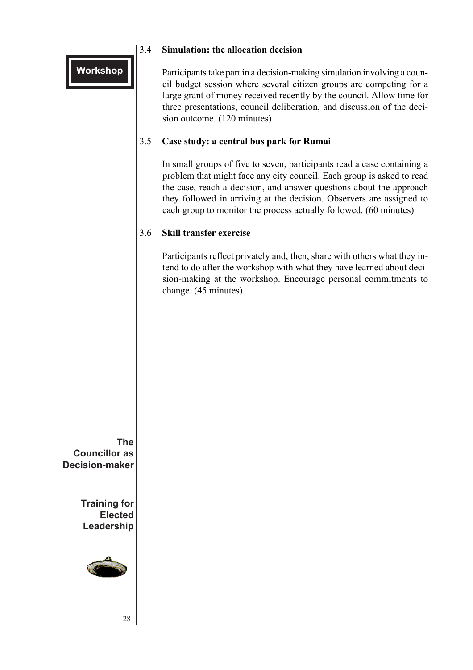# 3.4 **Simulation: the allocation decision**

Participants take part in a decision-making simulation involving a council budget session where several citizen groups are competing for a large grant of money received recently by the council. Allow time for three presentations, council deliberation, and discussion of the decision outcome. (120 minutes)

#### 3.5 **Case study: a central bus park for Rumai**

In small groups of five to seven, participants read a case containing a problem that might face any city council. Each group is asked to read the case, reach a decision, and answer questions about the approach they followed in arriving at the decision. Observers are assigned to each group to monitor the process actually followed. (60 minutes)

#### 3.6 **Skill transfer exercise**

Participants reflect privately and, then, share with others what they intend to do after the workshop with what they have learned about decision-making at the workshop. Encourage personal commitments to change. (45 minutes)

**The Councillor as Decision-maker**

**Workshop**

**Training for Elected Leadership**



28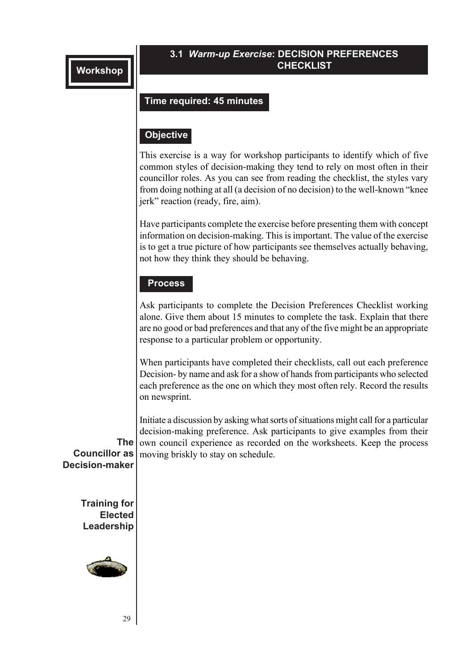#### **3.1** *Warm-up Exercise***: DECISION PREFERENCES CHECKLIST**

#### **Time required: 45 minutes**

#### **Objective**

This exercise is a way for workshop participants to identify which of five common styles of decision-making they tend to rely on most often in their councillor roles. As you can see from reading the checklist, the styles vary from doing nothing at all (a decision of no decision) to the well-known "knee jerk" reaction (ready, fire, aim).

Have participants complete the exercise before presenting them with concept information on decision-making. This is important. The value of the exercise is to get a true picture of how participants see themselves actually behaving, not how they think they should be behaving.

#### **Process**

Ask participants to complete the Decision Preferences Checklist working alone. Give them about 15 minutes to complete the task. Explain that there are no good or bad preferences and that any of the five might be an appropriate response to a particular problem or opportunity.

When participants have completed their checklists, call out each preference Decision- by name and ask for a show of hands from participants who selected each preference as the one on which they most often rely. Record the results on newsprint.

**The Councillor as** moving briskly to stay on schedule. Initiate a discussion by asking what sorts of situations might call for a particular decision-making preference. Ask participants to give examples from their own council experience as recorded on the worksheets. Keep the process

**Decision-maker**

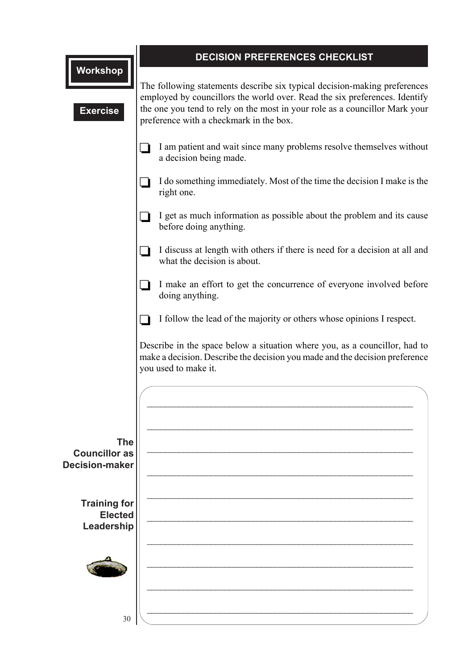|                                               | DECISION PREFERENCES CHECKLIST                                                                                                                                                                                                                                                    |  |  |  |
|-----------------------------------------------|-----------------------------------------------------------------------------------------------------------------------------------------------------------------------------------------------------------------------------------------------------------------------------------|--|--|--|
| <b>Workshop</b><br><b>Exercise</b>            | The following statements describe six typical decision-making preferences<br>employed by councillors the world over. Read the six preferences. Identify<br>the one you tend to rely on the most in your role as a councillor Mark your<br>preference with a checkmark in the box. |  |  |  |
|                                               | I am patient and wait since many problems resolve themselves without<br>a decision being made.                                                                                                                                                                                    |  |  |  |
|                                               | I do something immediately. Most of the time the decision I make is the<br>right one.                                                                                                                                                                                             |  |  |  |
|                                               | I get as much information as possible about the problem and its cause<br>before doing anything.                                                                                                                                                                                   |  |  |  |
|                                               | I discuss at length with others if there is need for a decision at all and<br>what the decision is about.                                                                                                                                                                         |  |  |  |
|                                               | I make an effort to get the concurrence of everyone involved before<br>doing anything.                                                                                                                                                                                            |  |  |  |
|                                               | I follow the lead of the majority or others whose opinions I respect.                                                                                                                                                                                                             |  |  |  |
|                                               | Describe in the space below a situation where you, as a councillor, had to<br>make a decision. Describe the decision you made and the decision preference<br>you used to make it.                                                                                                 |  |  |  |
|                                               |                                                                                                                                                                                                                                                                                   |  |  |  |
| <b>The</b>                                    |                                                                                                                                                                                                                                                                                   |  |  |  |
| <b>Councillor as</b><br><b>Decision-maker</b> |                                                                                                                                                                                                                                                                                   |  |  |  |
|                                               |                                                                                                                                                                                                                                                                                   |  |  |  |
| <b>Training for</b>                           |                                                                                                                                                                                                                                                                                   |  |  |  |
| <b>Elected</b><br>Leadership                  |                                                                                                                                                                                                                                                                                   |  |  |  |
|                                               |                                                                                                                                                                                                                                                                                   |  |  |  |
|                                               |                                                                                                                                                                                                                                                                                   |  |  |  |
| 30                                            |                                                                                                                                                                                                                                                                                   |  |  |  |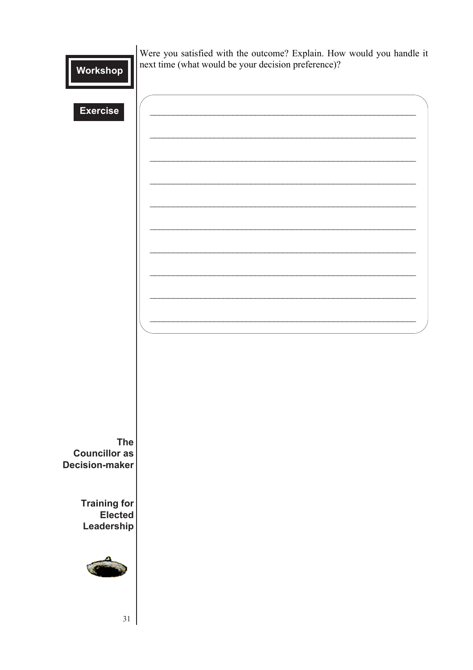Were you satisfied with the outcome? Explain. How would you handle it next time (what would be your decision preference)?

**Exercise The Councillor as Decision-maker Training for Elected** Leadership 31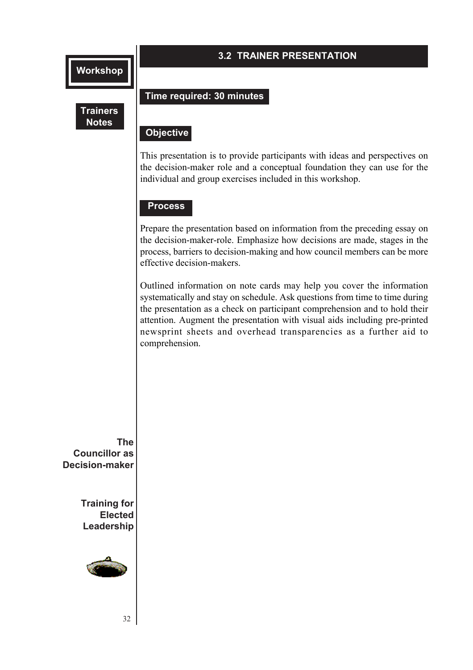#### **3.2 TRAINER PRESENTATION**

#### **Trainers Notes**

#### **Time required: 30 minutes**

#### **Objective Objective**

This presentation is to provide participants with ideas and perspectives on the decision-maker role and a conceptual foundation they can use for the individual and group exercises included in this workshop.

#### **Process**

Prepare the presentation based on information from the preceding essay on the decision-maker-role. Emphasize how decisions are made, stages in the process, barriers to decision-making and how council members can be more effective decision-makers.

Outlined information on note cards may help you cover the information systematically and stay on schedule. Ask questions from time to time during the presentation as a check on participant comprehension and to hold their attention. Augment the presentation with visual aids including pre-printed newsprint sheets and overhead transparencies as a further aid to comprehension.

**The Councillor as Decision-maker**

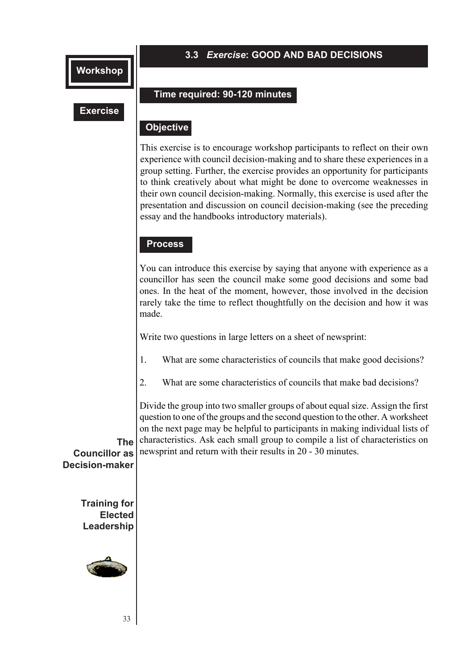#### **3.3** *Exercise***: GOOD AND BAD DECISIONS**

#### **Exercise**

#### **Time required: 90-120 minutes**

#### **Objective Objective**

This exercise is to encourage workshop participants to reflect on their own experience with council decision-making and to share these experiences in a group setting. Further, the exercise provides an opportunity for participants to think creatively about what might be done to overcome weaknesses in their own council decision-making. Normally, this exercise is used after the presentation and discussion on council decision-making (see the preceding essay and the handbooks introductory materials).

#### **Process**

You can introduce this exercise by saying that anyone with experience as a councillor has seen the council make some good decisions and some bad ones. In the heat of the moment, however, those involved in the decision rarely take the time to reflect thoughtfully on the decision and how it was made.

Write two questions in large letters on a sheet of newsprint:

1. What are some characteristics of councils that make good decisions?

2. What are some characteristics of councils that make bad decisions?

Divide the group into two smaller groups of about equal size. Assign the first question to one of the groups and the second question to the other. A worksheet on the next page may be helpful to participants in making individual lists of characteristics. Ask each small group to compile a list of characteristics on

**The Councillor as Decision-maker** newsprint and return with their results in 20 - 30 minutes.

**Training for Elected**

**Leadership**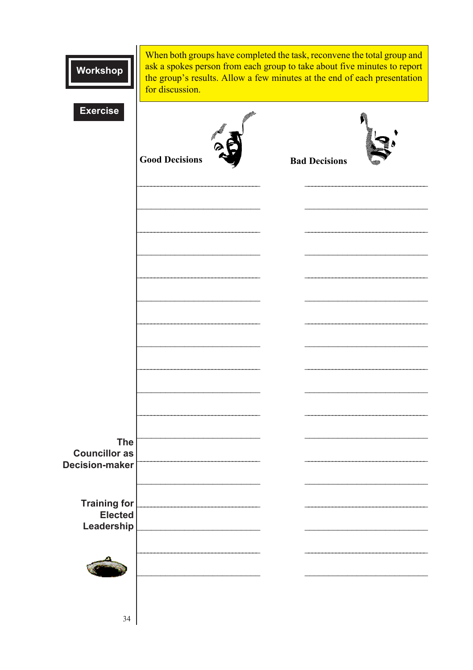| Workshop                                     | When both groups have completed the task, reconvene the total group and<br>ask a spokes person from each group to take about five minutes to report<br>the group's results. Allow a few minutes at the end of each presentation<br>for discussion. |                      |  |  |
|----------------------------------------------|----------------------------------------------------------------------------------------------------------------------------------------------------------------------------------------------------------------------------------------------------|----------------------|--|--|
| <b>Exercise</b>                              | <b>Good Decisions</b>                                                                                                                                                                                                                              | <b>Bad Decisions</b> |  |  |
|                                              |                                                                                                                                                                                                                                                    |                      |  |  |
|                                              |                                                                                                                                                                                                                                                    |                      |  |  |
|                                              |                                                                                                                                                                                                                                                    |                      |  |  |
|                                              |                                                                                                                                                                                                                                                    |                      |  |  |
| <b>The</b><br><b>Councillor as</b>           |                                                                                                                                                                                                                                                    |                      |  |  |
| <b>Decision-maker</b><br><b>Training for</b> |                                                                                                                                                                                                                                                    |                      |  |  |
| <b>Elected</b><br>Leadership                 |                                                                                                                                                                                                                                                    |                      |  |  |
|                                              |                                                                                                                                                                                                                                                    |                      |  |  |
| 34                                           |                                                                                                                                                                                                                                                    |                      |  |  |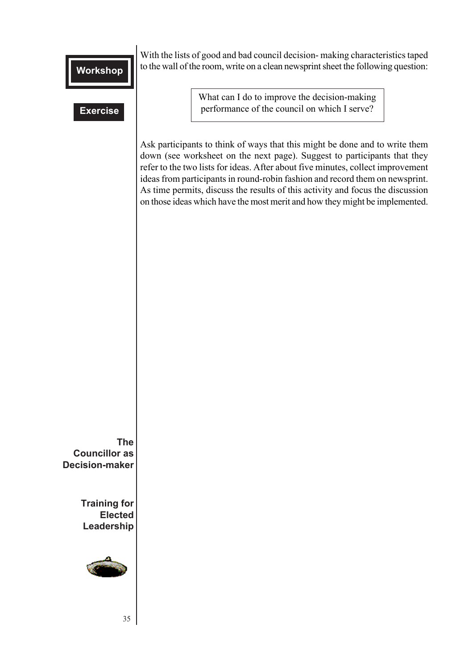#### **Exercise**

With the lists of good and bad council decision- making characteristics taped to the wall of the room, write on a clean newsprint sheet the following question:

> What can I do to improve the decision-making performance of the council on which I serve?

Ask participants to think of ways that this might be done and to write them down (see worksheet on the next page). Suggest to participants that they refer to the two lists for ideas. After about five minutes, collect improvement ideas from participants in round-robin fashion and record them on newsprint. As time permits, discuss the results of this activity and focus the discussion on those ideas which have the most merit and how they might be implemented.

**The Councillor as Decision-maker**

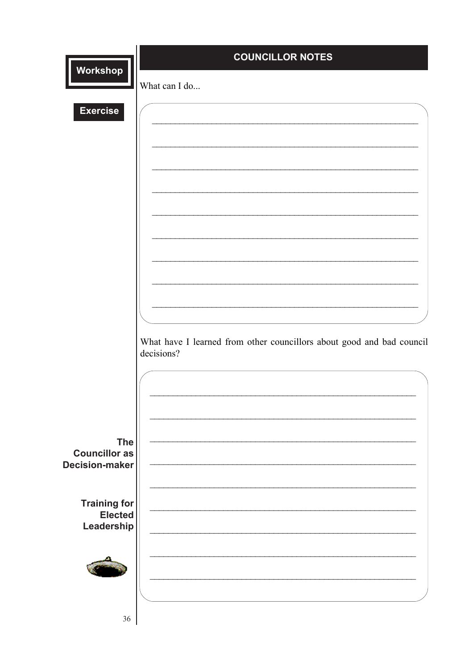|                                                             | <b>COUNCILLOR NOTES</b>                                                             |
|-------------------------------------------------------------|-------------------------------------------------------------------------------------|
| Workshop                                                    | What can I do                                                                       |
| <b>Exercise</b>                                             |                                                                                     |
|                                                             |                                                                                     |
|                                                             |                                                                                     |
|                                                             |                                                                                     |
|                                                             |                                                                                     |
|                                                             |                                                                                     |
|                                                             |                                                                                     |
|                                                             |                                                                                     |
|                                                             | What have I learned from other councillors about good and bad council<br>decisions? |
|                                                             |                                                                                     |
|                                                             |                                                                                     |
|                                                             |                                                                                     |
| <b>The</b><br><b>Councillor as</b><br><b>Decision-maker</b> |                                                                                     |
|                                                             |                                                                                     |
| <b>Training for</b><br><b>Elected</b>                       |                                                                                     |
| Leadership                                                  |                                                                                     |
|                                                             |                                                                                     |
|                                                             |                                                                                     |
| $36\,$                                                      |                                                                                     |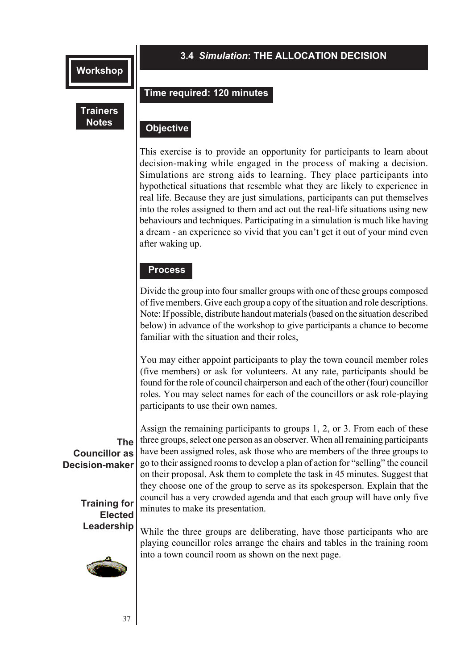#### **3.4** *Simulation***: THE ALLOCATION DECISION**

# **Trainers**

#### **Time required: 120 minutes**

#### **Objective Notes Objective**

This exercise is to provide an opportunity for participants to learn about decision-making while engaged in the process of making a decision. Simulations are strong aids to learning. They place participants into hypothetical situations that resemble what they are likely to experience in real life. Because they are just simulations, participants can put themselves into the roles assigned to them and act out the real-life situations using new behaviours and techniques. Participating in a simulation is much like having a dream - an experience so vivid that you can't get it out of your mind even after waking up.

#### **Process**

Divide the group into four smaller groups with one of these groups composed of five members. Give each group a copy of the situation and role descriptions. Note: If possible, distribute handout materials (based on the situation described below) in advance of the workshop to give participants a chance to become familiar with the situation and their roles,

You may either appoint participants to play the town council member roles (five members) or ask for volunteers. At any rate, participants should be found for the role of council chairperson and each of the other (four) councillor roles. You may select names for each of the councillors or ask role-playing participants to use their own names.

#### **The Councillor as Decision-maker**

**Training for Elected Leadership**



37

Assign the remaining participants to groups 1, 2, or 3. From each of these three groups, select one person as an observer. When all remaining participants have been assigned roles, ask those who are members of the three groups to go to their assigned rooms to develop a plan of action for "selling" the council on their proposal. Ask them to complete the task in 45 minutes. Suggest that they choose one of the group to serve as its spokesperson. Explain that the council has a very crowded agenda and that each group will have only five minutes to make its presentation.

While the three groups are deliberating, have those participants who are playing councillor roles arrange the chairs and tables in the training room into a town council room as shown on the next page.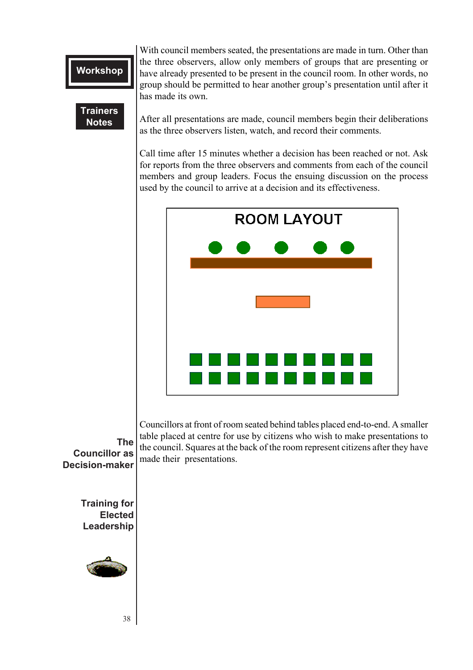#### **Trainers Notes**

With council members seated, the presentations are made in turn. Other than the three observers, allow only members of groups that are presenting or have already presented to be present in the council room. In other words, no group should be permitted to hear another group's presentation until after it has made its own.

as the three observers listen, watch, and record their comments. After all presentations are made, council members begin their deliberations

Call time after 15 minutes whether a decision has been reached or not. Ask for reports from the three observers and comments from each of the council members and group leaders. Focus the ensuing discussion on the process used by the council to arrive at a decision and its effectiveness.



Councillors at front of room seated behind tables placed end-to-end. A smaller table placed at centre for use by citizens who wish to make presentations to the council. Squares at the back of the room represent citizens after they have made their presentations.

**The Councillor as Decision-maker**

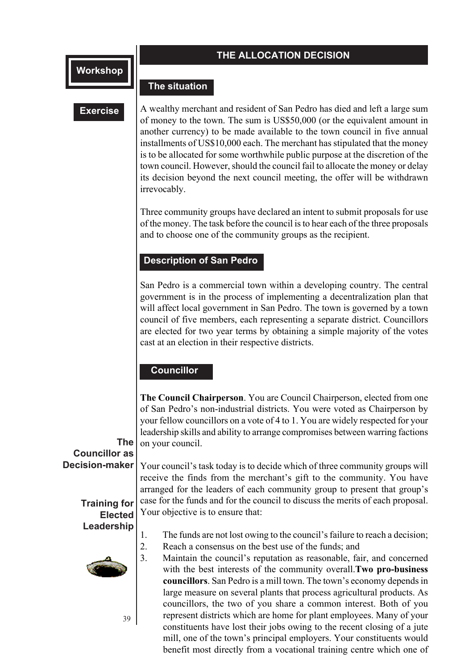#### **THE ALLOCATION DECISION**

#### **The situation**

#### **Exercise**

another currency) to be made available to the town council in five annual A wealthy merchant and resident of San Pedro has died and left a large sum of money to the town. The sum is US\$50,000 (or the equivalent amount in installments of US\$10,000 each. The merchant has stipulated that the money is to be allocated for some worthwhile public purpose at the discretion of the town council. However, should the council fail to allocate the money or delay its decision beyond the next council meeting, the offer will be withdrawn irrevocably.

Three community groups have declared an intent to submit proposals for use of the money. The task before the council is to hear each of the three proposals and to choose one of the community groups as the recipient.

#### **Description of San Pedro**

San Pedro is a commercial town within a developing country. The central government is in the process of implementing a decentralization plan that will affect local government in San Pedro. The town is governed by a town council of five members, each representing a separate district. Councillors are elected for two year terms by obtaining a simple majority of the votes cast at an election in their respective districts.

#### **Councillor**

**The Council Chairperson**. You are Council Chairperson, elected from one of San Pedro's non-industrial districts. You were voted as Chairperson by your fellow councillors on a vote of 4 to 1. You are widely respected for your leadership skills and ability to arrange compromises between warring factions on your council.

#### **The Councillor as Decision-maker**

Your council's task today is to decide which of three community groups will receive the finds from the merchant's gift to the community. You have arranged for the leaders of each community group to present that group's case for the funds and for the council to discuss the merits of each proposal. Your objective is to ensure that:

#### **Training for Elected Leadership**



39

1. The funds are not lost owing to the council's failure to reach a decision;

2. Reach a consensus on the best use of the funds; and

3. Maintain the council's reputation as reasonable, fair, and concerned with the best interests of the community overall.**Two pro-business councillors**. San Pedro is a mill town. The town's economy depends in large measure on several plants that process agricultural products. As councillors, the two of you share a common interest. Both of you represent districts which are home for plant employees. Many of your constituents have lost their jobs owing to the recent closing of a jute mill, one of the town's principal employers. Your constituents would benefit most directly from a vocational training centre which one of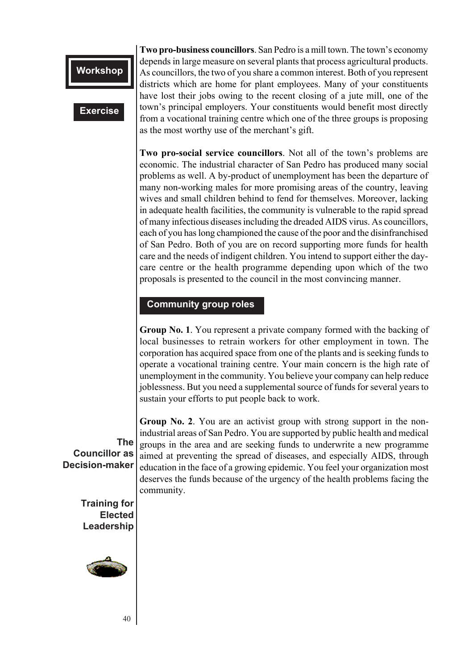#### **Exercise**

as the most worthy use of the merchant's gift. **Two pro-business councillors**. San Pedro is a mill town. The town's economy depends in large measure on several plants that process agricultural products. As councillors, the two of you share a common interest. Both of you represent districts which are home for plant employees. Many of your constituents have lost their jobs owing to the recent closing of a jute mill, one of the town's principal employers. Your constituents would benefit most directly from a vocational training centre which one of the three groups is proposing

**Two pro-social service councillors**. Not all of the town's problems are economic. The industrial character of San Pedro has produced many social problems as well. A by-product of unemployment has been the departure of many non-working males for more promising areas of the country, leaving wives and small children behind to fend for themselves. Moreover, lacking in adequate health facilities, the community is vulnerable to the rapid spread of many infectious diseases including the dreaded AIDS virus. As councillors, each of you has long championed the cause of the poor and the disinfranchised of San Pedro. Both of you are on record supporting more funds for health care and the needs of indigent children. You intend to support either the daycare centre or the health programme depending upon which of the two proposals is presented to the council in the most convincing manner.

#### **Community group roles**

**Group No. 1**. You represent a private company formed with the backing of local businesses to retrain workers for other employment in town. The corporation has acquired space from one of the plants and is seeking funds to operate a vocational training centre. Your main concern is the high rate of unemployment in the community. You believe your company can help reduce joblessness. But you need a supplemental source of funds for several years to sustain your efforts to put people back to work.

**Group No. 2**. You are an activist group with strong support in the nonindustrial areas of San Pedro. You are supported by public health and medical groups in the area and are seeking funds to underwrite a new programme aimed at preventing the spread of diseases, and especially AIDS, through education in the face of a growing epidemic. You feel your organization most deserves the funds because of the urgency of the health problems facing the community.

**The Councillor as Decision-maker**

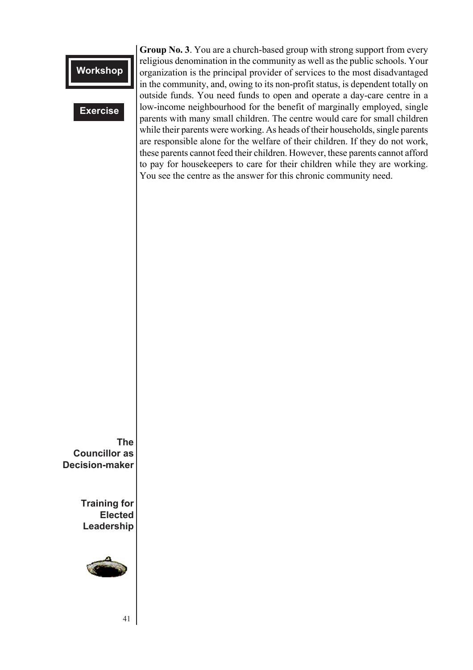#### **Exercise**

while their parents were working. As heads of their households, single parents **Group No. 3**. You are a church-based group with strong support from every religious denomination in the community as well as the public schools. Your organization is the principal provider of services to the most disadvantaged in the community, and, owing to its non-profit status, is dependent totally on outside funds. You need funds to open and operate a day-care centre in a low-income neighbourhood for the benefit of marginally employed, single parents with many small children. The centre would care for small children are responsible alone for the welfare of their children. If they do not work, these parents cannot feed their children. However, these parents cannot afford to pay for housekeepers to care for their children while they are working. You see the centre as the answer for this chronic community need.

**The Councillor as Decision-maker**

> **Training for Elected Leadership**



41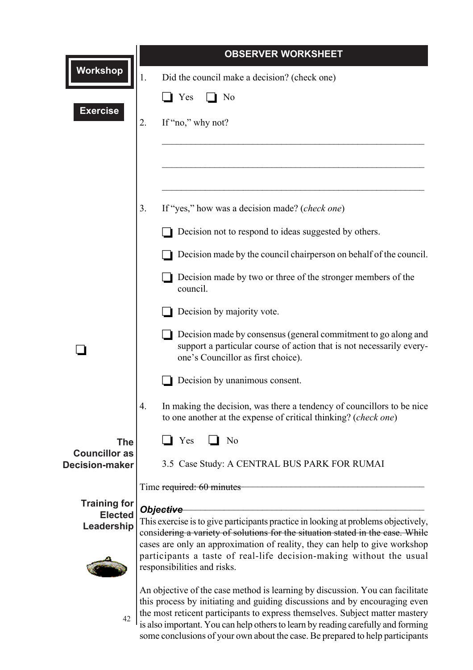|                                               | <b>OBSERVER WORKSHEET</b>                                                                                                                                                                                                                                                                                                                                                                                        |  |  |  |
|-----------------------------------------------|------------------------------------------------------------------------------------------------------------------------------------------------------------------------------------------------------------------------------------------------------------------------------------------------------------------------------------------------------------------------------------------------------------------|--|--|--|
| <b>Workshop</b>                               | Did the council make a decision? (check one)<br>1.                                                                                                                                                                                                                                                                                                                                                               |  |  |  |
|                                               | $\blacksquare$ Yes<br>l No                                                                                                                                                                                                                                                                                                                                                                                       |  |  |  |
| <b>Exercise</b>                               | If "no," why not?<br>2.                                                                                                                                                                                                                                                                                                                                                                                          |  |  |  |
|                                               |                                                                                                                                                                                                                                                                                                                                                                                                                  |  |  |  |
|                                               |                                                                                                                                                                                                                                                                                                                                                                                                                  |  |  |  |
|                                               |                                                                                                                                                                                                                                                                                                                                                                                                                  |  |  |  |
|                                               | If "yes," how was a decision made? (check one)<br>3.                                                                                                                                                                                                                                                                                                                                                             |  |  |  |
|                                               | Decision not to respond to ideas suggested by others.                                                                                                                                                                                                                                                                                                                                                            |  |  |  |
|                                               | Decision made by the council chairperson on behalf of the council.                                                                                                                                                                                                                                                                                                                                               |  |  |  |
|                                               | Decision made by two or three of the stronger members of the<br>council.                                                                                                                                                                                                                                                                                                                                         |  |  |  |
|                                               | Decision by majority vote.                                                                                                                                                                                                                                                                                                                                                                                       |  |  |  |
|                                               | Decision made by consensus (general commitment to go along and<br>support a particular course of action that is not necessarily every-<br>one's Councillor as first choice).                                                                                                                                                                                                                                     |  |  |  |
|                                               | Decision by unanimous consent.                                                                                                                                                                                                                                                                                                                                                                                   |  |  |  |
|                                               | 4.<br>In making the decision, was there a tendency of councillors to be nice<br>to one another at the expense of critical thinking? (check one)                                                                                                                                                                                                                                                                  |  |  |  |
| <b>The</b>                                    | N <sub>o</sub><br>Yes                                                                                                                                                                                                                                                                                                                                                                                            |  |  |  |
| <b>Councillor as</b><br><b>Decision-maker</b> | 3.5 Case Study: A CENTRAL BUS PARK FOR RUMAI                                                                                                                                                                                                                                                                                                                                                                     |  |  |  |
|                                               | Time required: 60 minutes                                                                                                                                                                                                                                                                                                                                                                                        |  |  |  |
| <b>Training for</b><br><b>Elected</b>         | Obje <del>ctive</del>                                                                                                                                                                                                                                                                                                                                                                                            |  |  |  |
| Leadership                                    | This exercise is to give participants practice in looking at problems objectively,<br>considering a variety of solutions for the situation stated in the case. While                                                                                                                                                                                                                                             |  |  |  |
|                                               | cases are only an approximation of reality, they can help to give workshop<br>participants a taste of real-life decision-making without the usual<br>responsibilities and risks.                                                                                                                                                                                                                                 |  |  |  |
| 42                                            | An objective of the case method is learning by discussion. You can facilitate<br>this process by initiating and guiding discussions and by encouraging even<br>the most reticent participants to express themselves. Subject matter mastery<br>is also important. You can help others to learn by reading carefully and forming<br>some conclusions of your own about the case. Be prepared to help participants |  |  |  |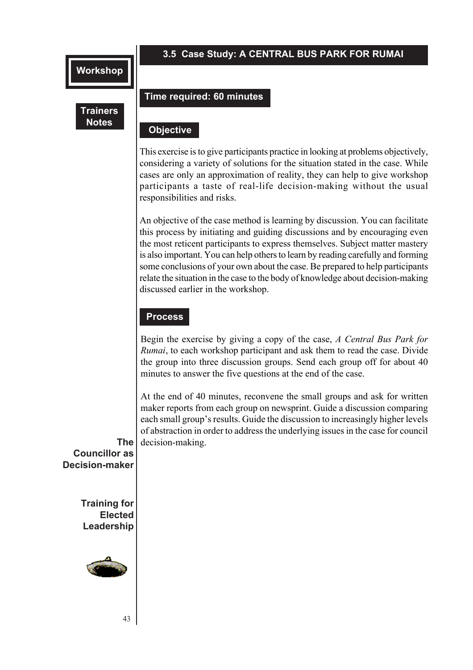#### **3.5 Case Study: A CENTRAL BUS PARK FOR RUMAI**

#### **Trainers Notes**

#### **Time required: 60 minutes**

## **Objective Objective**

This exercise is to give participants practice in looking at problems objectively, considering a variety of solutions for the situation stated in the case. While cases are only an approximation of reality, they can help to give workshop participants a taste of real-life decision-making without the usual responsibilities and risks.

An objective of the case method is learning by discussion. You can facilitate this process by initiating and guiding discussions and by encouraging even the most reticent participants to express themselves. Subject matter mastery is also important. You can help others to learn by reading carefully and forming some conclusions of your own about the case. Be prepared to help participants relate the situation in the case to the body of knowledge about decision-making discussed earlier in the workshop.

#### **Process**

Begin the exercise by giving a copy of the case, *A Central Bus Park for Rumai*, to each workshop participant and ask them to read the case. Divide the group into three discussion groups. Send each group off for about 40 minutes to answer the five questions at the end of the case.

At the end of 40 minutes, reconvene the small groups and ask for written maker reports from each group on newsprint. Guide a discussion comparing each small group's results. Guide the discussion to increasingly higher levels of abstraction in order to address the underlying issues in the case for council decision-making.

**The Councillor as Decision-maker**

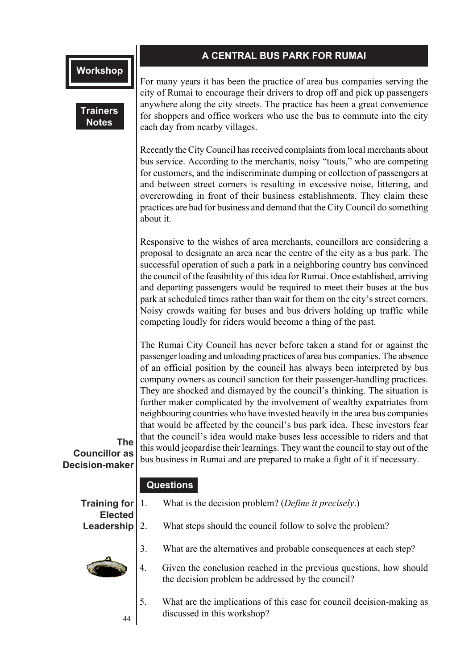#### **A CENTRAL BUS PARK FOR RUMAI**

**Trainers Notes**

**Contract in the second contract of the second contract of the second contract of the second contract of the second contract of the second contract of the second contract of the second contract of the second contract of th** For many years it has been the practice of area bus companies serving the city of Rumai to encourage their drivers to drop off and pick up passengers anywhere along the city streets. The practice has been a great convenience for shoppers and office workers who use the bus to commute into the city each day from nearby villages.

Recently the City Council has received complaints from local merchants about bus service. According to the merchants, noisy "touts," who are competing for customers, and the indiscriminate dumping or collection of passengers at and between street corners is resulting in excessive noise, littering, and overcrowding in front of their business establishments. They claim these practices are bad for business and demand that the City Council do something about it.

Responsive to the wishes of area merchants, councillors are considering a proposal to designate an area near the centre of the city as a bus park. The successful operation of such a park in a neighboring country has convinced the council of the feasibility of this idea for Rumai. Once established, arriving and departing passengers would be required to meet their buses at the bus park at scheduled times rather than wait for them on the city's street corners. Noisy crowds waiting for buses and bus drivers holding up traffic while competing loudly for riders would become a thing of the past.

The Rumai City Council has never before taken a stand for or against the passenger loading and unloading practices of area bus companies. The absence of an official position by the council has always been interpreted by bus company owners as council sanction for their passenger-handling practices. They are shocked and dismayed by the council's thinking. The situation is further maker complicated by the involvement of wealthy expatriates from neighbouring countries who have invested heavily in the area bus companies that would be affected by the council's bus park idea. These investors fear that the council's idea would make buses less accessible to riders and that this would jeopardise their learnings. They want the council to stay out of the bus business in Rumai and are prepared to make a fight of it if necessary.

**Councillor as Decision-maker**

#### **Questions**

| Training for                 |    | What is the decision problem? (Define it precisely.)                                                                    |
|------------------------------|----|-------------------------------------------------------------------------------------------------------------------------|
| <b>Elected</b><br>Leadership |    | What steps should the council follow to solve the problem?                                                              |
|                              | 3. | What are the alternatives and probable consequences at each step?                                                       |
|                              | 4. | Given the conclusion reached in the previous questions, how should<br>the decision problem be addressed by the council? |
|                              |    | What are the implications of this case for council decision-making as                                                   |

44

**The**

What are the implications of this case for council decision-making as discussed in this workshop?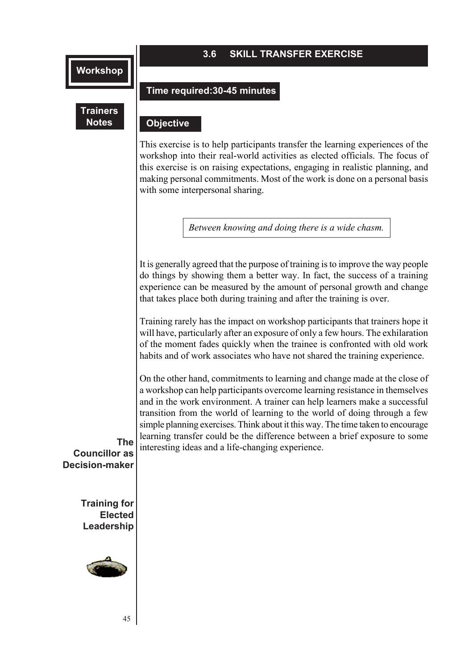**Trainers Notes**

#### **3.6 SKILL TRANSFER EXERCISE**

#### **Time required:30-45 minutes**

#### **Objective Objective**

This exercise is to help participants transfer the learning experiences of the workshop into their real-world activities as elected officials. The focus of this exercise is on raising expectations, engaging in realistic planning, and making personal commitments. Most of the work is done on a personal basis with some interpersonal sharing.

*Between knowing and doing there is a wide chasm.*

It is generally agreed that the purpose of training is to improve the way people do things by showing them a better way. In fact, the success of a training experience can be measured by the amount of personal growth and change that takes place both during training and after the training is over.

Training rarely has the impact on workshop participants that trainers hope it will have, particularly after an exposure of only a few hours. The exhilaration of the moment fades quickly when the trainee is confronted with old work habits and of work associates who have not shared the training experience.

On the other hand, commitments to learning and change made at the close of a workshop can help participants overcome learning resistance in themselves and in the work environment. A trainer can help learners make a successful transition from the world of learning to the world of doing through a few simple planning exercises. Think about it this way. The time taken to encourage learning transfer could be the difference between a brief exposure to some interesting ideas and a life-changing experience.

**The Councillor as Decision-maker**

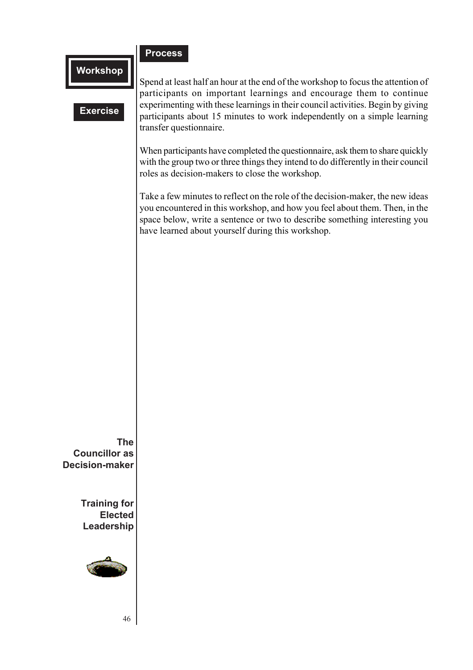#### **Process**

### **Workshop**

#### **Exercise**

**Comparent queen** Spend at least half an hour at the end of the workshop to focus the attention of participants on important learnings and encourage them to continue experimenting with these learnings in their council activities. Begin by giving participants about 15 minutes to work independently on a simple learning transfer questionnaire.

When participants have completed the questionnaire, ask them to share quickly with the group two or three things they intend to do differently in their council roles as decision-makers to close the workshop.

Take a few minutes to reflect on the role of the decision-maker, the new ideas you encountered in this workshop, and how you feel about them. Then, in the space below, write a sentence or two to describe something interesting you have learned about yourself during this workshop.

**The Councillor as Decision-maker**

> **Training for Elected Leadership**



46